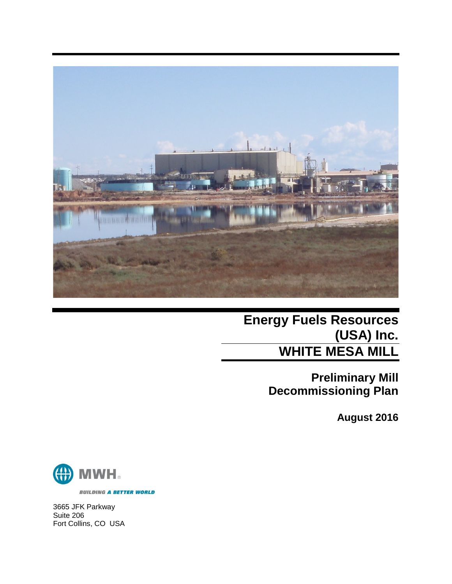

**Energy Fuels Resources (USA) Inc. WHITE MESA MILL**

> **Preliminary Mill Decommissioning Plan**

> > **August 2016**



**BUILDING A BETTER WORLD** 

3665 JFK Parkway Suite 206 Fort Collins, CO USA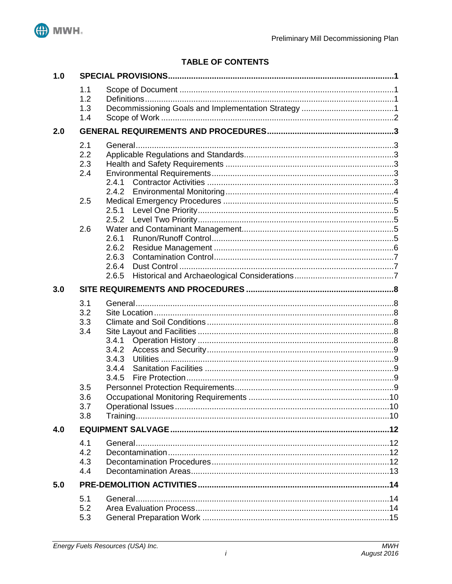

# **TABLE OF CONTENTS**

| 1.0 |                                                      |                                           |  |  |
|-----|------------------------------------------------------|-------------------------------------------|--|--|
|     | 1.1<br>1.2<br>1.3<br>1.4                             |                                           |  |  |
| 2.0 |                                                      |                                           |  |  |
|     | 2.1<br>2.2<br>2.3<br>2.4<br>2.5<br>2.6               | 2.4.1<br>2.4.2<br>2.6.1<br>2.6.2          |  |  |
|     |                                                      | 2.6.3<br>2.6.4<br>2.6.5                   |  |  |
| 3.0 |                                                      |                                           |  |  |
|     | 3.1<br>3.2<br>3.3<br>3.4<br>3.5<br>3.6<br>3.7<br>3.8 | 3.4.1<br>3.4.2<br>3.4.3<br>3.4.4<br>3.4.5 |  |  |
| 4.0 |                                                      |                                           |  |  |
|     | 4.1<br>4.2<br>4.3<br>4.4                             |                                           |  |  |
| 5.0 |                                                      |                                           |  |  |
|     | 5.1<br>5.2<br>5.3                                    |                                           |  |  |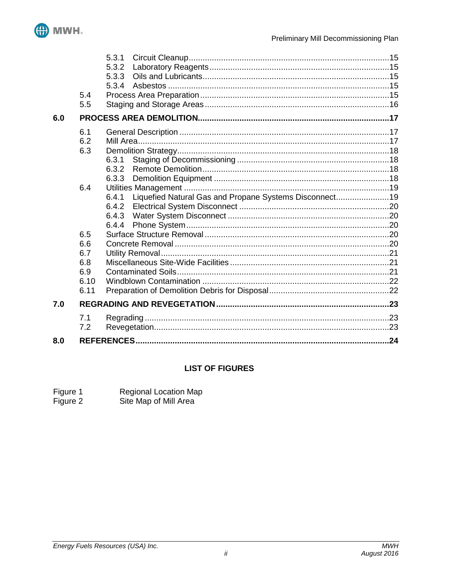

|     |             | 5.3.1                                                           |  |  |
|-----|-------------|-----------------------------------------------------------------|--|--|
|     |             | 5.3.2                                                           |  |  |
|     |             | 5.3.3                                                           |  |  |
|     | 5.4         | 5.3.4                                                           |  |  |
|     | 5.5         |                                                                 |  |  |
|     |             |                                                                 |  |  |
| 6.0 |             |                                                                 |  |  |
|     | 6.1         |                                                                 |  |  |
|     | 6.2         |                                                                 |  |  |
|     | 6.3         |                                                                 |  |  |
|     |             | 6.3.1                                                           |  |  |
|     |             | 6.3.2                                                           |  |  |
|     |             | 6.3.3                                                           |  |  |
|     | 6.4         |                                                                 |  |  |
|     |             | Liquefied Natural Gas and Propane Systems Disconnect19<br>6.4.1 |  |  |
|     |             | 6.4.2                                                           |  |  |
|     |             | 6.4.3                                                           |  |  |
|     |             | 6.4.4                                                           |  |  |
|     | 6.5         |                                                                 |  |  |
|     | 6.6         |                                                                 |  |  |
|     | 6.7         |                                                                 |  |  |
|     | 6.8         |                                                                 |  |  |
|     | 6.9<br>6.10 |                                                                 |  |  |
|     | 6.11        |                                                                 |  |  |
|     |             |                                                                 |  |  |
| 7.0 |             |                                                                 |  |  |
|     | 7.1         |                                                                 |  |  |
|     | 7.2         |                                                                 |  |  |
| 8.0 |             |                                                                 |  |  |
|     |             |                                                                 |  |  |

# **LIST OF FIGURES**

Figure 2 Site Map of Mill Area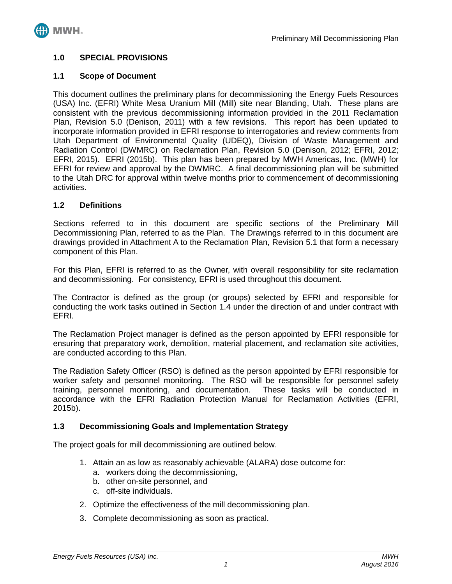

## <span id="page-3-0"></span>**1.0 SPECIAL PROVISIONS**

#### <span id="page-3-1"></span>**1.1 Scope of Document**

This document outlines the preliminary plans for decommissioning the Energy Fuels Resources (USA) Inc. (EFRI) White Mesa Uranium Mill (Mill) site near Blanding, Utah. These plans are consistent with the previous decommissioning information provided in the 2011 Reclamation Plan, Revision 5.0 (Denison, 2011) with a few revisions. This report has been updated to incorporate information provided in EFRI response to interrogatories and review comments from Utah Department of Environmental Quality (UDEQ), Division of Waste Management and Radiation Control (DWMRC) on Reclamation Plan, Revision 5.0 (Denison, 2012; EFRI, 2012; EFRI, 2015). EFRI (2015b). This plan has been prepared by MWH Americas, Inc. (MWH) for EFRI for review and approval by the DWMRC. A final decommissioning plan will be submitted to the Utah DRC for approval within twelve months prior to commencement of decommissioning activities.

#### <span id="page-3-2"></span>**1.2 Definitions**

Sections referred to in this document are specific sections of the Preliminary Mill Decommissioning Plan, referred to as the Plan. The Drawings referred to in this document are drawings provided in Attachment A to the Reclamation Plan, Revision 5.1 that form a necessary component of this Plan.

For this Plan, EFRI is referred to as the Owner, with overall responsibility for site reclamation and decommissioning. For consistency, EFRI is used throughout this document.

The Contractor is defined as the group (or groups) selected by EFRI and responsible for conducting the work tasks outlined in Section 1.4 under the direction of and under contract with EFRI.

The Reclamation Project manager is defined as the person appointed by EFRI responsible for ensuring that preparatory work, demolition, material placement, and reclamation site activities, are conducted according to this Plan.

The Radiation Safety Officer (RSO) is defined as the person appointed by EFRI responsible for worker safety and personnel monitoring. The RSO will be responsible for personnel safety training, personnel monitoring, and documentation. These tasks will be conducted in accordance with the EFRI Radiation Protection Manual for Reclamation Activities (EFRI, 2015b).

#### <span id="page-3-3"></span>**1.3 Decommissioning Goals and Implementation Strategy**

The project goals for mill decommissioning are outlined below.

- 1. Attain an as low as reasonably achievable (ALARA) dose outcome for:
	- a. workers doing the decommissioning,
	- b. other on-site personnel, and
	- c. off-site individuals.
- 2. Optimize the effectiveness of the mill decommissioning plan.
- 3. Complete decommissioning as soon as practical.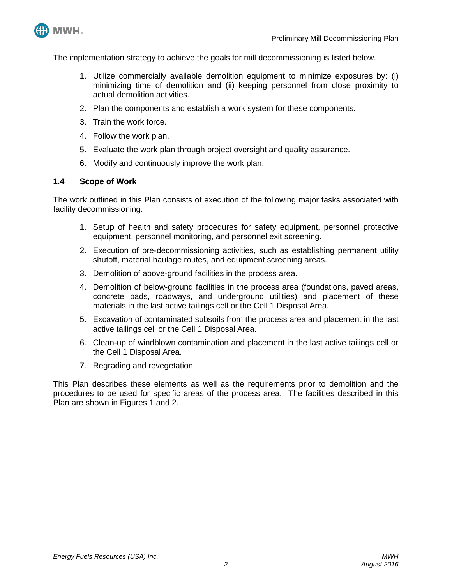

The implementation strategy to achieve the goals for mill decommissioning is listed below.

- 1. Utilize commercially available demolition equipment to minimize exposures by: (i) minimizing time of demolition and (ii) keeping personnel from close proximity to actual demolition activities.
- 2. Plan the components and establish a work system for these components.
- 3. Train the work force.
- 4. Follow the work plan.
- 5. Evaluate the work plan through project oversight and quality assurance.
- 6. Modify and continuously improve the work plan.

#### <span id="page-4-0"></span>**1.4 Scope of Work**

The work outlined in this Plan consists of execution of the following major tasks associated with facility decommissioning.

- 1. Setup of health and safety procedures for safety equipment, personnel protective equipment, personnel monitoring, and personnel exit screening.
- 2. Execution of pre-decommissioning activities, such as establishing permanent utility shutoff, material haulage routes, and equipment screening areas.
- 3. Demolition of above-ground facilities in the process area.
- 4. Demolition of below-ground facilities in the process area (foundations, paved areas, concrete pads, roadways, and underground utilities) and placement of these materials in the last active tailings cell or the Cell 1 Disposal Area.
- 5. Excavation of contaminated subsoils from the process area and placement in the last active tailings cell or the Cell 1 Disposal Area.
- 6. Clean-up of windblown contamination and placement in the last active tailings cell or the Cell 1 Disposal Area.
- 7. Regrading and revegetation.

This Plan describes these elements as well as the requirements prior to demolition and the procedures to be used for specific areas of the process area. The facilities described in this Plan are shown in Figures 1 and 2.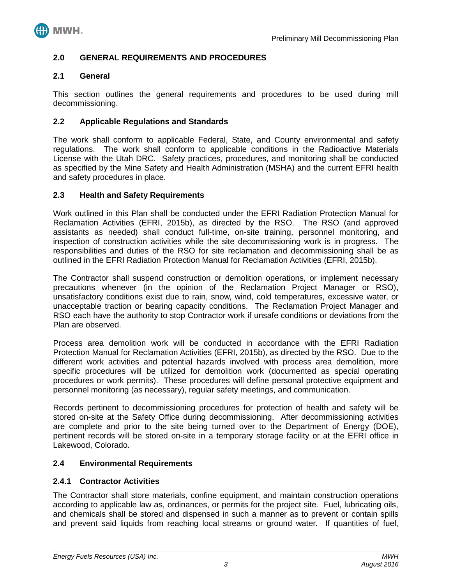

## <span id="page-5-0"></span>**2.0 GENERAL REQUIREMENTS AND PROCEDURES**

### <span id="page-5-1"></span>**2.1 General**

This section outlines the general requirements and procedures to be used during mill decommissioning.

## <span id="page-5-2"></span>**2.2 Applicable Regulations and Standards**

The work shall conform to applicable Federal, State, and County environmental and safety regulations. The work shall conform to applicable conditions in the Radioactive Materials License with the Utah DRC. Safety practices, procedures, and monitoring shall be conducted as specified by the Mine Safety and Health Administration (MSHA) and the current EFRI health and safety procedures in place.

#### <span id="page-5-3"></span>**2.3 Health and Safety Requirements**

Work outlined in this Plan shall be conducted under the EFRI Radiation Protection Manual for Reclamation Activities (EFRI, 2015b), as directed by the RSO. The RSO (and approved assistants as needed) shall conduct full-time, on-site training, personnel monitoring, and inspection of construction activities while the site decommissioning work is in progress. The responsibilities and duties of the RSO for site reclamation and decommissioning shall be as outlined in the EFRI Radiation Protection Manual for Reclamation Activities (EFRI, 2015b).

The Contractor shall suspend construction or demolition operations, or implement necessary precautions whenever (in the opinion of the Reclamation Project Manager or RSO), unsatisfactory conditions exist due to rain, snow, wind, cold temperatures, excessive water, or unacceptable traction or bearing capacity conditions. The Reclamation Project Manager and RSO each have the authority to stop Contractor work if unsafe conditions or deviations from the Plan are observed.

Process area demolition work will be conducted in accordance with the EFRI Radiation Protection Manual for Reclamation Activities (EFRI, 2015b), as directed by the RSO. Due to the different work activities and potential hazards involved with process area demolition, more specific procedures will be utilized for demolition work (documented as special operating procedures or work permits). These procedures will define personal protective equipment and personnel monitoring (as necessary), regular safety meetings, and communication.

Records pertinent to decommissioning procedures for protection of health and safety will be stored on-site at the Safety Office during decommissioning. After decommissioning activities are complete and prior to the site being turned over to the Department of Energy (DOE), pertinent records will be stored on-site in a temporary storage facility or at the EFRI office in Lakewood, Colorado.

#### <span id="page-5-4"></span>**2.4 Environmental Requirements**

#### <span id="page-5-5"></span>**2.4.1 Contractor Activities**

The Contractor shall store materials, confine equipment, and maintain construction operations according to applicable law as, ordinances, or permits for the project site. Fuel, lubricating oils, and chemicals shall be stored and dispensed in such a manner as to prevent or contain spills and prevent said liquids from reaching local streams or ground water. If quantities of fuel,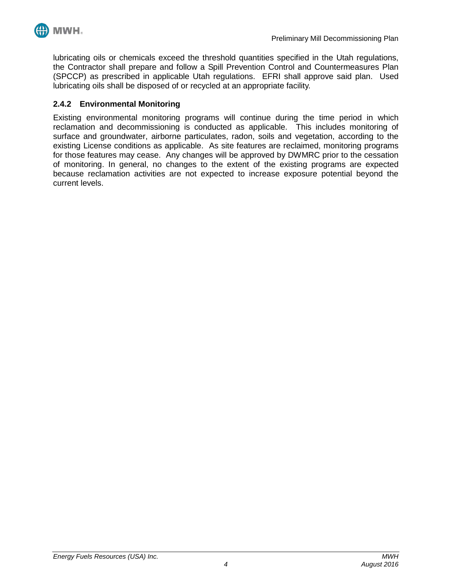

lubricating oils or chemicals exceed the threshold quantities specified in the Utah regulations, the Contractor shall prepare and follow a Spill Prevention Control and Countermeasures Plan (SPCCP) as prescribed in applicable Utah regulations. EFRI shall approve said plan. Used lubricating oils shall be disposed of or recycled at an appropriate facility.

## <span id="page-6-0"></span>**2.4.2 Environmental Monitoring**

Existing environmental monitoring programs will continue during the time period in which reclamation and decommissioning is conducted as applicable. This includes monitoring of surface and groundwater, airborne particulates, radon, soils and vegetation, according to the existing License conditions as applicable. As site features are reclaimed, monitoring programs for those features may cease. Any changes will be approved by DWMRC prior to the cessation of monitoring. In general, no changes to the extent of the existing programs are expected because reclamation activities are not expected to increase exposure potential beyond the current levels.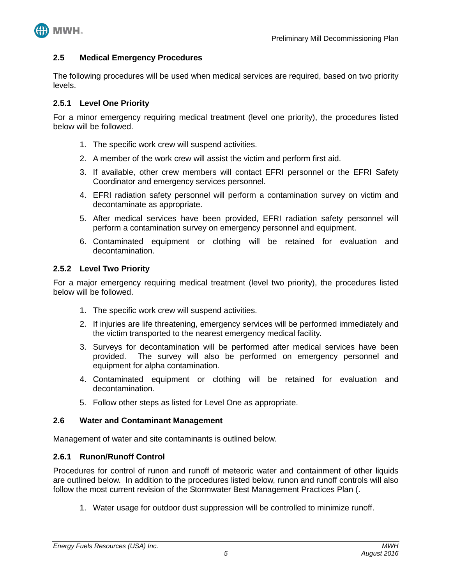

#### <span id="page-7-0"></span>**2.5 Medical Emergency Procedures**

The following procedures will be used when medical services are required, based on two priority levels.

## <span id="page-7-1"></span>**2.5.1 Level One Priority**

For a minor emergency requiring medical treatment (level one priority), the procedures listed below will be followed.

- 1. The specific work crew will suspend activities.
- 2. A member of the work crew will assist the victim and perform first aid.
- 3. If available, other crew members will contact EFRI personnel or the EFRI Safety Coordinator and emergency services personnel.
- 4. EFRI radiation safety personnel will perform a contamination survey on victim and decontaminate as appropriate.
- 5. After medical services have been provided, EFRI radiation safety personnel will perform a contamination survey on emergency personnel and equipment.
- 6. Contaminated equipment or clothing will be retained for evaluation and decontamination.

#### <span id="page-7-2"></span>**2.5.2 Level Two Priority**

For a major emergency requiring medical treatment (level two priority), the procedures listed below will be followed.

- 1. The specific work crew will suspend activities.
- 2. If injuries are life threatening, emergency services will be performed immediately and the victim transported to the nearest emergency medical facility.
- 3. Surveys for decontamination will be performed after medical services have been provided. The survey will also be performed on emergency personnel and equipment for alpha contamination.
- 4. Contaminated equipment or clothing will be retained for evaluation and decontamination.
- 5. Follow other steps as listed for Level One as appropriate.

#### <span id="page-7-3"></span>**2.6 Water and Contaminant Management**

Management of water and site contaminants is outlined below.

#### <span id="page-7-4"></span>**2.6.1 Runon/Runoff Control**

Procedures for control of runon and runoff of meteoric water and containment of other liquids are outlined below. In addition to the procedures listed below, runon and runoff controls will also follow the most current revision of the Stormwater Best Management Practices Plan (.

1. Water usage for outdoor dust suppression will be controlled to minimize runoff.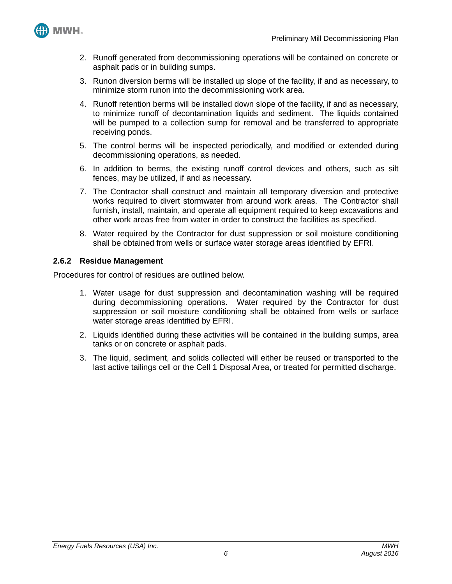

- 2. Runoff generated from decommissioning operations will be contained on concrete or asphalt pads or in building sumps.
- 3. Runon diversion berms will be installed up slope of the facility, if and as necessary, to minimize storm runon into the decommissioning work area.
- 4. Runoff retention berms will be installed down slope of the facility, if and as necessary, to minimize runoff of decontamination liquids and sediment. The liquids contained will be pumped to a collection sump for removal and be transferred to appropriate receiving ponds.
- 5. The control berms will be inspected periodically, and modified or extended during decommissioning operations, as needed.
- 6. In addition to berms, the existing runoff control devices and others, such as silt fences, may be utilized, if and as necessary.
- 7. The Contractor shall construct and maintain all temporary diversion and protective works required to divert stormwater from around work areas. The Contractor shall furnish, install, maintain, and operate all equipment required to keep excavations and other work areas free from water in order to construct the facilities as specified.
- 8. Water required by the Contractor for dust suppression or soil moisture conditioning shall be obtained from wells or surface water storage areas identified by EFRI.

## <span id="page-8-0"></span>**2.6.2 Residue Management**

Procedures for control of residues are outlined below.

- 1. Water usage for dust suppression and decontamination washing will be required during decommissioning operations. Water required by the Contractor for dust suppression or soil moisture conditioning shall be obtained from wells or surface water storage areas identified by EFRI.
- 2. Liquids identified during these activities will be contained in the building sumps, area tanks or on concrete or asphalt pads.
- 3. The liquid, sediment, and solids collected will either be reused or transported to the last active tailings cell or the Cell 1 Disposal Area, or treated for permitted discharge.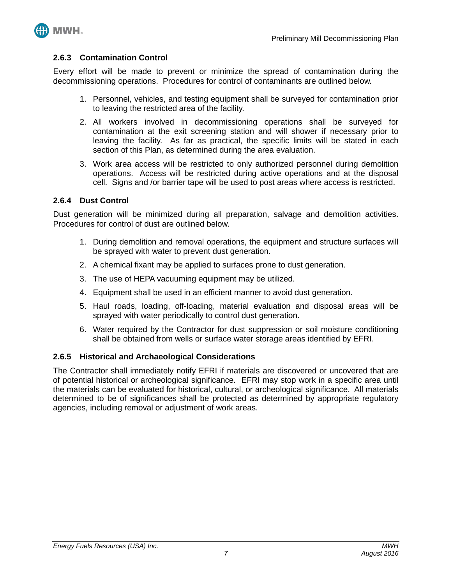

#### <span id="page-9-0"></span>**2.6.3 Contamination Control**

Every effort will be made to prevent or minimize the spread of contamination during the decommissioning operations. Procedures for control of contaminants are outlined below.

- 1. Personnel, vehicles, and testing equipment shall be surveyed for contamination prior to leaving the restricted area of the facility.
- 2. All workers involved in decommissioning operations shall be surveyed for contamination at the exit screening station and will shower if necessary prior to leaving the facility. As far as practical, the specific limits will be stated in each section of this Plan, as determined during the area evaluation.
- 3. Work area access will be restricted to only authorized personnel during demolition operations. Access will be restricted during active operations and at the disposal cell. Signs and /or barrier tape will be used to post areas where access is restricted.

#### <span id="page-9-1"></span>**2.6.4 Dust Control**

Dust generation will be minimized during all preparation, salvage and demolition activities. Procedures for control of dust are outlined below.

- 1. During demolition and removal operations, the equipment and structure surfaces will be sprayed with water to prevent dust generation.
- 2. A chemical fixant may be applied to surfaces prone to dust generation.
- 3. The use of HEPA vacuuming equipment may be utilized.
- 4. Equipment shall be used in an efficient manner to avoid dust generation.
- 5. Haul roads, loading, off-loading, material evaluation and disposal areas will be sprayed with water periodically to control dust generation.
- 6. Water required by the Contractor for dust suppression or soil moisture conditioning shall be obtained from wells or surface water storage areas identified by EFRI.

#### <span id="page-9-2"></span>**2.6.5 Historical and Archaeological Considerations**

The Contractor shall immediately notify EFRI if materials are discovered or uncovered that are of potential historical or archeological significance. EFRI may stop work in a specific area until the materials can be evaluated for historical, cultural, or archeological significance. All materials determined to be of significances shall be protected as determined by appropriate regulatory agencies, including removal or adjustment of work areas.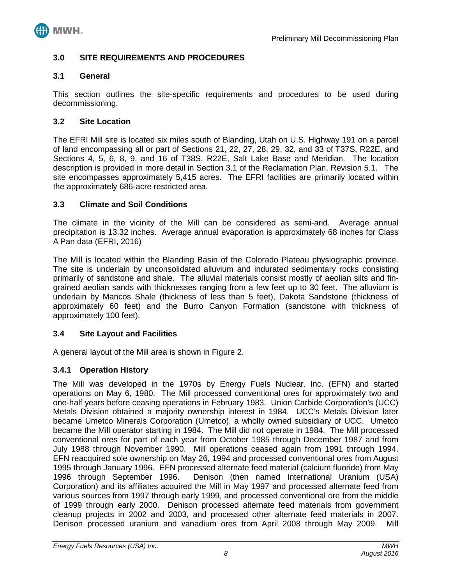

## <span id="page-10-0"></span>**3.0 SITE REQUIREMENTS AND PROCEDURES**

#### <span id="page-10-1"></span>**3.1 General**

This section outlines the site-specific requirements and procedures to be used during decommissioning.

#### <span id="page-10-2"></span>**3.2 Site Location**

The EFRI Mill site is located six miles south of Blanding, Utah on U.S. Highway 191 on a parcel of land encompassing all or part of Sections 21, 22, 27, 28, 29, 32, and 33 of T37S, R22E, and Sections 4, 5, 6, 8, 9, and 16 of T38S, R22E, Salt Lake Base and Meridian. The location description is provided in more detail in Section 3.1 of the Reclamation Plan, Revision 5.1. The site encompasses approximately 5,415 acres. The EFRI facilities are primarily located within the approximately 686-acre restricted area.

#### <span id="page-10-3"></span>**3.3 Climate and Soil Conditions**

The climate in the vicinity of the Mill can be considered as semi-arid. Average annual precipitation is 13.32 inches. Average annual evaporation is approximately 68 inches for Class A Pan data (EFRI, 2016)

The Mill is located within the Blanding Basin of the Colorado Plateau physiographic province. The site is underlain by unconsolidated alluvium and indurated sedimentary rocks consisting primarily of sandstone and shale. The alluvial materials consist mostly of aeolian silts and fingrained aeolian sands with thicknesses ranging from a few feet up to 30 feet. The alluvium is underlain by Mancos Shale (thickness of less than 5 feet), Dakota Sandstone (thickness of approximately 60 feet) and the Burro Canyon Formation (sandstone with thickness of approximately 100 feet).

#### <span id="page-10-4"></span>**3.4 Site Layout and Facilities**

A general layout of the Mill area is shown in Figure 2.

#### <span id="page-10-5"></span>**3.4.1 Operation History**

The Mill was developed in the 1970s by Energy Fuels Nuclear, Inc. (EFN) and started operations on May 6, 1980. The Mill processed conventional ores for approximately two and one-half years before ceasing operations in February 1983. Union Carbide Corporation's (UCC) Metals Division obtained a majority ownership interest in 1984. UCC's Metals Division later became Umetco Minerals Corporation (Umetco), a wholly owned subsidiary of UCC. Umetco became the Mill operator starting in 1984. The Mill did not operate in 1984. The Mill processed conventional ores for part of each year from October 1985 through December 1987 and from July 1988 through November 1990. Mill operations ceased again from 1991 through 1994. EFN reacquired sole ownership on May 26, 1994 and processed conventional ores from August 1995 through January 1996. EFN processed alternate feed material (calcium fluoride) from May 1996 through September 1996. Denison (then named International Uranium (USA) Corporation) and its affiliates acquired the Mill in May 1997 and processed alternate feed from various sources from 1997 through early 1999, and processed conventional ore from the middle of 1999 through early 2000. Denison processed alternate feed materials from government cleanup projects in 2002 and 2003, and processed other alternate feed materials in 2007. Denison processed uranium and vanadium ores from April 2008 through May 2009. Mill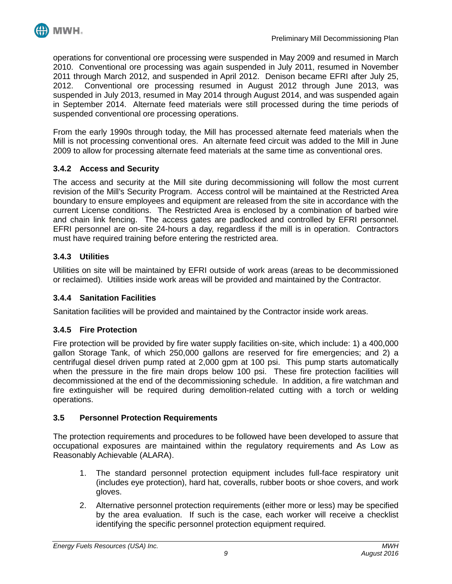

operations for conventional ore processing were suspended in May 2009 and resumed in March 2010. Conventional ore processing was again suspended in July 2011, resumed in November 2011 through March 2012, and suspended in April 2012. Denison became EFRI after July 25, 2012. Conventional ore processing resumed in August 2012 through June 2013, was suspended in July 2013, resumed in May 2014 through August 2014, and was suspended again in September 2014. Alternate feed materials were still processed during the time periods of suspended conventional ore processing operations.

From the early 1990s through today, the Mill has processed alternate feed materials when the Mill is not processing conventional ores. An alternate feed circuit was added to the Mill in June 2009 to allow for processing alternate feed materials at the same time as conventional ores.

# <span id="page-11-0"></span>**3.4.2 Access and Security**

The access and security at the Mill site during decommissioning will follow the most current revision of the Mill's Security Program. Access control will be maintained at the Restricted Area boundary to ensure employees and equipment are released from the site in accordance with the current License conditions. The Restricted Area is enclosed by a combination of barbed wire and chain link fencing. The access gates are padlocked and controlled by EFRI personnel. EFRI personnel are on-site 24-hours a day, regardless if the mill is in operation. Contractors must have required training before entering the restricted area.

# <span id="page-11-1"></span>**3.4.3 Utilities**

Utilities on site will be maintained by EFRI outside of work areas (areas to be decommissioned or reclaimed). Utilities inside work areas will be provided and maintained by the Contractor.

# <span id="page-11-2"></span>**3.4.4 Sanitation Facilities**

Sanitation facilities will be provided and maintained by the Contractor inside work areas.

#### <span id="page-11-3"></span>**3.4.5 Fire Protection**

Fire protection will be provided by fire water supply facilities on-site, which include: 1) a 400,000 gallon Storage Tank, of which 250,000 gallons are reserved for fire emergencies; and 2) a centrifugal diesel driven pump rated at 2,000 gpm at 100 psi. This pump starts automatically when the pressure in the fire main drops below 100 psi. These fire protection facilities will decommissioned at the end of the decommissioning schedule. In addition, a fire watchman and fire extinguisher will be required during demolition-related cutting with a torch or welding operations.

#### <span id="page-11-4"></span>**3.5 Personnel Protection Requirements**

The protection requirements and procedures to be followed have been developed to assure that occupational exposures are maintained within the regulatory requirements and As Low as Reasonably Achievable (ALARA).

- 1. The standard personnel protection equipment includes full-face respiratory unit (includes eye protection), hard hat, coveralls, rubber boots or shoe covers, and work gloves.
- 2. Alternative personnel protection requirements (either more or less) may be specified by the area evaluation. If such is the case, each worker will receive a checklist identifying the specific personnel protection equipment required.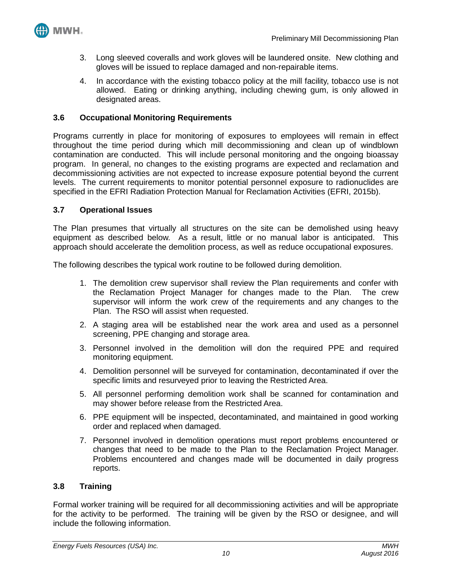

- 3. Long sleeved coveralls and work gloves will be laundered onsite. New clothing and gloves will be issued to replace damaged and non-repairable items.
- 4. In accordance with the existing tobacco policy at the mill facility, tobacco use is not allowed. Eating or drinking anything, including chewing gum, is only allowed in designated areas.

## <span id="page-12-0"></span>**3.6 Occupational Monitoring Requirements**

Programs currently in place for monitoring of exposures to employees will remain in effect throughout the time period during which mill decommissioning and clean up of windblown contamination are conducted. This will include personal monitoring and the ongoing bioassay program. In general, no changes to the existing programs are expected and reclamation and decommissioning activities are not expected to increase exposure potential beyond the current levels. The current requirements to monitor potential personnel exposure to radionuclides are specified in the EFRI Radiation Protection Manual for Reclamation Activities (EFRI, 2015b).

#### <span id="page-12-1"></span>**3.7 Operational Issues**

The Plan presumes that virtually all structures on the site can be demolished using heavy equipment as described below. As a result, little or no manual labor is anticipated. This approach should accelerate the demolition process, as well as reduce occupational exposures.

The following describes the typical work routine to be followed during demolition.

- 1. The demolition crew supervisor shall review the Plan requirements and confer with the Reclamation Project Manager for changes made to the Plan. The crew supervisor will inform the work crew of the requirements and any changes to the Plan. The RSO will assist when requested.
- 2. A staging area will be established near the work area and used as a personnel screening, PPE changing and storage area.
- 3. Personnel involved in the demolition will don the required PPE and required monitoring equipment.
- 4. Demolition personnel will be surveyed for contamination, decontaminated if over the specific limits and resurveyed prior to leaving the Restricted Area.
- 5. All personnel performing demolition work shall be scanned for contamination and may shower before release from the Restricted Area.
- 6. PPE equipment will be inspected, decontaminated, and maintained in good working order and replaced when damaged.
- 7. Personnel involved in demolition operations must report problems encountered or changes that need to be made to the Plan to the Reclamation Project Manager. Problems encountered and changes made will be documented in daily progress reports.

# <span id="page-12-2"></span>**3.8 Training**

Formal worker training will be required for all decommissioning activities and will be appropriate for the activity to be performed. The training will be given by the RSO or designee, and will include the following information.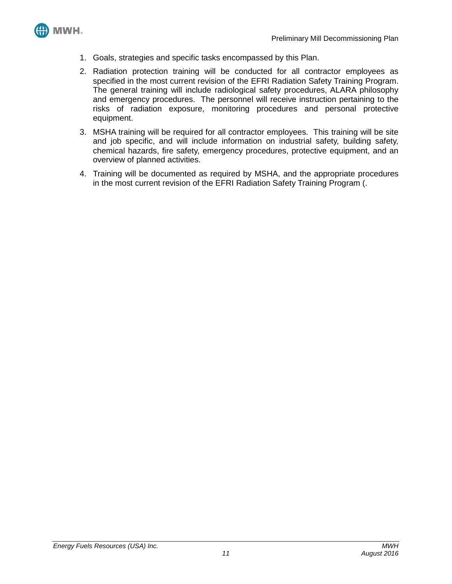

- 1. Goals, strategies and specific tasks encompassed by this Plan.
- 2. Radiation protection training will be conducted for all contractor employees as specified in the most current revision of the EFRI Radiation Safety Training Program. The general training will include radiological safety procedures, ALARA philosophy and emergency procedures. The personnel will receive instruction pertaining to the risks of radiation exposure, monitoring procedures and personal protective equipment.
- 3. MSHA training will be required for all contractor employees. This training will be site and job specific, and will include information on industrial safety, building safety, chemical hazards, fire safety, emergency procedures, protective equipment, and an overview of planned activities.
- 4. Training will be documented as required by MSHA, and the appropriate procedures in the most current revision of the EFRI Radiation Safety Training Program (.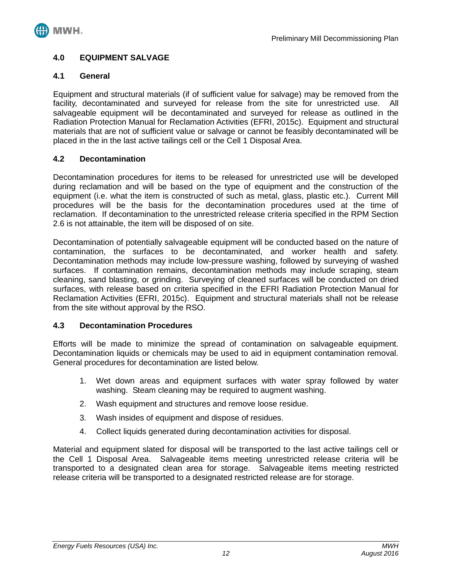

## <span id="page-14-0"></span>**4.0 EQUIPMENT SALVAGE**

## <span id="page-14-1"></span>**4.1 General**

Equipment and structural materials (if of sufficient value for salvage) may be removed from the facility, decontaminated and surveyed for release from the site for unrestricted use. All salvageable equipment will be decontaminated and surveyed for release as outlined in the Radiation Protection Manual for Reclamation Activities (EFRI, 2015c). Equipment and structural materials that are not of sufficient value or salvage or cannot be feasibly decontaminated will be placed in the in the last active tailings cell or the Cell 1 Disposal Area.

## <span id="page-14-2"></span>**4.2 Decontamination**

Decontamination procedures for items to be released for unrestricted use will be developed during reclamation and will be based on the type of equipment and the construction of the equipment (i.e. what the item is constructed of such as metal, glass, plastic etc.). Current Mill procedures will be the basis for the decontamination procedures used at the time of reclamation. If decontamination to the unrestricted release criteria specified in the RPM Section 2.6 is not attainable, the item will be disposed of on site.

Decontamination of potentially salvageable equipment will be conducted based on the nature of contamination, the surfaces to be decontaminated, and worker health and safety. Decontamination methods may include low-pressure washing, followed by surveying of washed surfaces. If contamination remains, decontamination methods may include scraping, steam cleaning, sand blasting, or grinding. Surveying of cleaned surfaces will be conducted on dried surfaces, with release based on criteria specified in the EFRI Radiation Protection Manual for Reclamation Activities (EFRI, 2015c). Equipment and structural materials shall not be release from the site without approval by the RSO.

#### <span id="page-14-3"></span>**4.3 Decontamination Procedures**

Efforts will be made to minimize the spread of contamination on salvageable equipment. Decontamination liquids or chemicals may be used to aid in equipment contamination removal. General procedures for decontamination are listed below.

- 1. Wet down areas and equipment surfaces with water spray followed by water washing. Steam cleaning may be required to augment washing.
- 2. Wash equipment and structures and remove loose residue.
- 3. Wash insides of equipment and dispose of residues.
- 4. Collect liquids generated during decontamination activities for disposal.

Material and equipment slated for disposal will be transported to the last active tailings cell or the Cell 1 Disposal Area. Salvageable items meeting unrestricted release criteria will be transported to a designated clean area for storage. Salvageable items meeting restricted release criteria will be transported to a designated restricted release are for storage.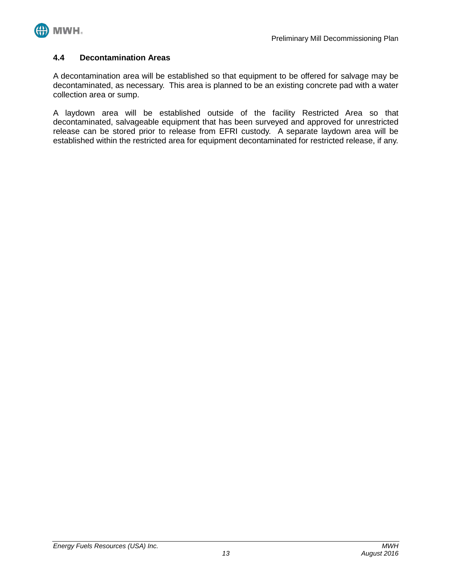

## <span id="page-15-0"></span>**4.4 Decontamination Areas**

A decontamination area will be established so that equipment to be offered for salvage may be decontaminated, as necessary. This area is planned to be an existing concrete pad with a water collection area or sump.

A laydown area will be established outside of the facility Restricted Area so that decontaminated, salvageable equipment that has been surveyed and approved for unrestricted release can be stored prior to release from EFRI custody. A separate laydown area will be established within the restricted area for equipment decontaminated for restricted release, if any.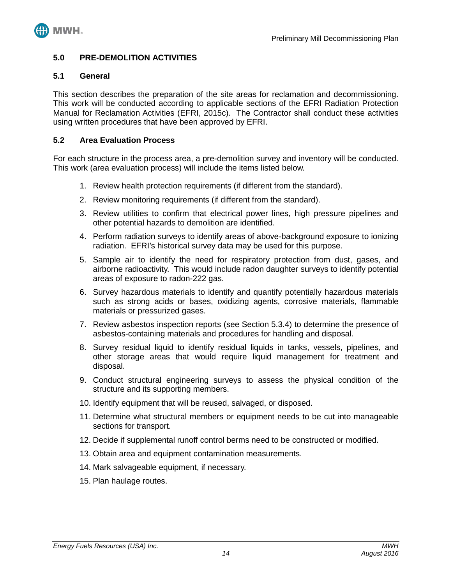

## <span id="page-16-0"></span>**5.0 PRE-DEMOLITION ACTIVITIES**

## <span id="page-16-1"></span>**5.1 General**

This section describes the preparation of the site areas for reclamation and decommissioning. This work will be conducted according to applicable sections of the EFRI Radiation Protection Manual for Reclamation Activities (EFRI, 2015c). The Contractor shall conduct these activities using written procedures that have been approved by EFRI.

## <span id="page-16-2"></span>**5.2 Area Evaluation Process**

For each structure in the process area, a pre-demolition survey and inventory will be conducted. This work (area evaluation process) will include the items listed below.

- 1. Review health protection requirements (if different from the standard).
- 2. Review monitoring requirements (if different from the standard).
- 3. Review utilities to confirm that electrical power lines, high pressure pipelines and other potential hazards to demolition are identified.
- 4. Perform radiation surveys to identify areas of above-background exposure to ionizing radiation. EFRI's historical survey data may be used for this purpose.
- 5. Sample air to identify the need for respiratory protection from dust, gases, and airborne radioactivity. This would include radon daughter surveys to identify potential areas of exposure to radon-222 gas.
- 6. Survey hazardous materials to identify and quantify potentially hazardous materials such as strong acids or bases, oxidizing agents, corrosive materials, flammable materials or pressurized gases.
- 7. Review asbestos inspection reports (see Section 5.3.4) to determine the presence of asbestos-containing materials and procedures for handling and disposal.
- 8. Survey residual liquid to identify residual liquids in tanks, vessels, pipelines, and other storage areas that would require liquid management for treatment and disposal.
- 9. Conduct structural engineering surveys to assess the physical condition of the structure and its supporting members.
- 10. Identify equipment that will be reused, salvaged, or disposed.
- 11. Determine what structural members or equipment needs to be cut into manageable sections for transport.
- 12. Decide if supplemental runoff control berms need to be constructed or modified.
- 13. Obtain area and equipment contamination measurements.
- 14. Mark salvageable equipment, if necessary.
- 15. Plan haulage routes.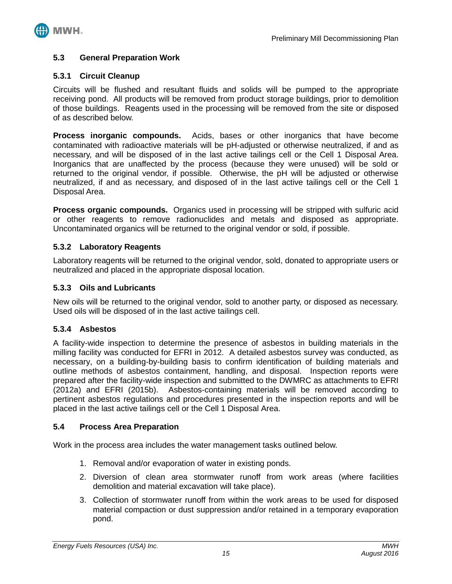

#### <span id="page-17-0"></span>**5.3 General Preparation Work**

#### <span id="page-17-1"></span>**5.3.1 Circuit Cleanup**

Circuits will be flushed and resultant fluids and solids will be pumped to the appropriate receiving pond. All products will be removed from product storage buildings, prior to demolition of those buildings. Reagents used in the processing will be removed from the site or disposed of as described below.

**Process inorganic compounds.** Acids, bases or other inorganics that have become contaminated with radioactive materials will be pH-adjusted or otherwise neutralized, if and as necessary, and will be disposed of in the last active tailings cell or the Cell 1 Disposal Area. Inorganics that are unaffected by the process (because they were unused) will be sold or returned to the original vendor, if possible. Otherwise, the pH will be adjusted or otherwise neutralized, if and as necessary, and disposed of in the last active tailings cell or the Cell 1 Disposal Area.

**Process organic compounds.** Organics used in processing will be stripped with sulfuric acid or other reagents to remove radionuclides and metals and disposed as appropriate. Uncontaminated organics will be returned to the original vendor or sold, if possible.

#### <span id="page-17-2"></span>**5.3.2 Laboratory Reagents**

Laboratory reagents will be returned to the original vendor, sold, donated to appropriate users or neutralized and placed in the appropriate disposal location.

## <span id="page-17-3"></span>**5.3.3 Oils and Lubricants**

New oils will be returned to the original vendor, sold to another party, or disposed as necessary. Used oils will be disposed of in the last active tailings cell.

#### <span id="page-17-4"></span>**5.3.4 Asbestos**

A facility-wide inspection to determine the presence of asbestos in building materials in the milling facility was conducted for EFRI in 2012. A detailed asbestos survey was conducted, as necessary, on a building-by-building basis to confirm identification of building materials and outline methods of asbestos containment, handling, and disposal. Inspection reports were prepared after the facility-wide inspection and submitted to the DWMRC as attachments to EFRI (2012a) and EFRI (2015b). Asbestos-containing materials will be removed according to pertinent asbestos regulations and procedures presented in the inspection reports and will be placed in the last active tailings cell or the Cell 1 Disposal Area.

#### <span id="page-17-5"></span>**5.4 Process Area Preparation**

Work in the process area includes the water management tasks outlined below.

- 1. Removal and/or evaporation of water in existing ponds.
- 2. Diversion of clean area stormwater runoff from work areas (where facilities demolition and material excavation will take place).
- 3. Collection of stormwater runoff from within the work areas to be used for disposed material compaction or dust suppression and/or retained in a temporary evaporation pond.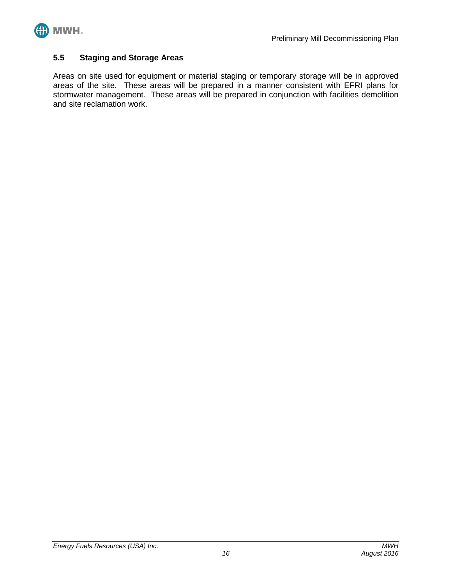

## <span id="page-18-0"></span>**5.5 Staging and Storage Areas**

Areas on site used for equipment or material staging or temporary storage will be in approved areas of the site. These areas will be prepared in a manner consistent with EFRI plans for stormwater management. These areas will be prepared in conjunction with facilities demolition and site reclamation work.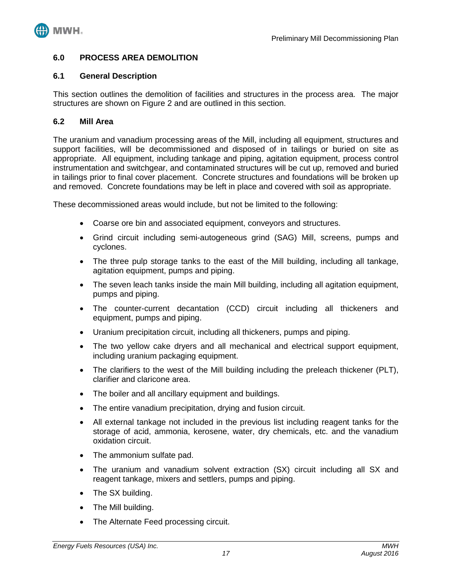

## <span id="page-19-0"></span>**6.0 PROCESS AREA DEMOLITION**

## <span id="page-19-1"></span>**6.1 General Description**

This section outlines the demolition of facilities and structures in the process area. The major structures are shown on Figure 2 and are outlined in this section.

## <span id="page-19-2"></span>**6.2 Mill Area**

The uranium and vanadium processing areas of the Mill, including all equipment, structures and support facilities, will be decommissioned and disposed of in tailings or buried on site as appropriate. All equipment, including tankage and piping, agitation equipment, process control instrumentation and switchgear, and contaminated structures will be cut up, removed and buried in tailings prior to final cover placement. Concrete structures and foundations will be broken up and removed. Concrete foundations may be left in place and covered with soil as appropriate.

These decommissioned areas would include, but not be limited to the following:

- Coarse ore bin and associated equipment, conveyors and structures.
- Grind circuit including semi-autogeneous grind (SAG) Mill, screens, pumps and cyclones.
- The three pulp storage tanks to the east of the Mill building, including all tankage, agitation equipment, pumps and piping.
- The seven leach tanks inside the main Mill building, including all agitation equipment, pumps and piping.
- The counter-current decantation (CCD) circuit including all thickeners and equipment, pumps and piping.
- Uranium precipitation circuit, including all thickeners, pumps and piping.
- The two yellow cake dryers and all mechanical and electrical support equipment. including uranium packaging equipment.
- The clarifiers to the west of the Mill building including the preleach thickener (PLT), clarifier and claricone area.
- The boiler and all ancillary equipment and buildings.
- The entire vanadium precipitation, drying and fusion circuit.
- All external tankage not included in the previous list including reagent tanks for the storage of acid, ammonia, kerosene, water, dry chemicals, etc. and the vanadium oxidation circuit.
- The ammonium sulfate pad.
- The uranium and vanadium solvent extraction (SX) circuit including all SX and reagent tankage, mixers and settlers, pumps and piping.
- The SX building.
- The Mill building.
- The Alternate Feed processing circuit.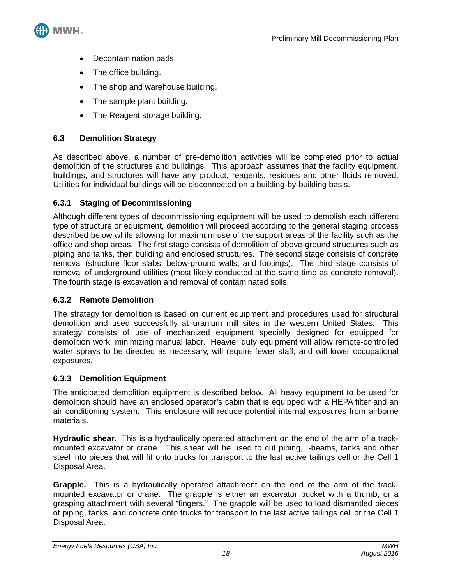

- Decontamination pads.
- The office building.
- The shop and warehouse building.
- The sample plant building.
- The Reagent storage building.

# <span id="page-20-0"></span>**6.3 Demolition Strategy**

As described above, a number of pre-demolition activities will be completed prior to actual demolition of the structures and buildings. This approach assumes that the facility equipment, buildings, and structures will have any product, reagents, residues and other fluids removed. Utilities for individual buildings will be disconnected on a building-by-building basis.

# <span id="page-20-1"></span>**6.3.1 Staging of Decommissioning**

Although different types of decommissioning equipment will be used to demolish each different type of structure or equipment, demolition will proceed according to the general staging process described below while allowing for maximum use of the support areas of the facility such as the office and shop areas. The first stage consists of demolition of above-ground structures such as piping and tanks, then building and enclosed structures. The second stage consists of concrete removal (structure floor slabs, below-ground walls, and footings). The third stage consists of removal of underground utilities (most likely conducted at the same time as concrete removal). The fourth stage is excavation and removal of contaminated soils.

# <span id="page-20-2"></span>**6.3.2 Remote Demolition**

The strategy for demolition is based on current equipment and procedures used for structural demolition and used successfully at uranium mill sites in the western United States. This strategy consists of use of mechanized equipment specially designed for equipped for demolition work, minimizing manual labor. Heavier duty equipment will allow remote-controlled water sprays to be directed as necessary, will require fewer staff, and will lower occupational exposures.

# <span id="page-20-3"></span>**6.3.3 Demolition Equipment**

The anticipated demolition equipment is described below. All heavy equipment to be used for demolition should have an enclosed operator's cabin that is equipped with a HEPA filter and an air conditioning system. This enclosure will reduce potential internal exposures from airborne materials.

**Hydraulic shear.** This is a hydraulically operated attachment on the end of the arm of a trackmounted excavator or crane. This shear will be used to cut piping, I-beams, tanks and other steel into pieces that will fit onto trucks for transport to the last active tailings cell or the Cell 1 Disposal Area.

**Grapple.** This is a hydraulically operated attachment on the end of the arm of the trackmounted excavator or crane. The grapple is either an excavator bucket with a thumb, or a grasping attachment with several "fingers." The grapple will be used to load dismantled pieces of piping, tanks, and concrete onto trucks for transport to the last active tailings cell or the Cell 1 Disposal Area.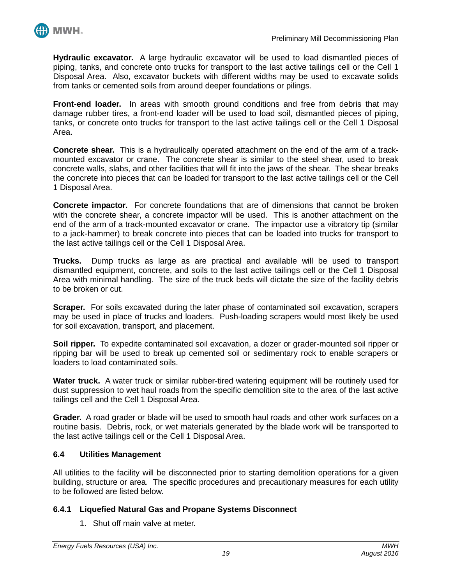

**Hydraulic excavator.** A large hydraulic excavator will be used to load dismantled pieces of piping, tanks, and concrete onto trucks for transport to the last active tailings cell or the Cell 1 Disposal Area. Also, excavator buckets with different widths may be used to excavate solids from tanks or cemented soils from around deeper foundations or pilings.

**Front-end loader.** In areas with smooth ground conditions and free from debris that may damage rubber tires, a front-end loader will be used to load soil, dismantled pieces of piping, tanks, or concrete onto trucks for transport to the last active tailings cell or the Cell 1 Disposal Area.

**Concrete shear.** This is a hydraulically operated attachment on the end of the arm of a trackmounted excavator or crane. The concrete shear is similar to the steel shear, used to break concrete walls, slabs, and other facilities that will fit into the jaws of the shear. The shear breaks the concrete into pieces that can be loaded for transport to the last active tailings cell or the Cell 1 Disposal Area.

**Concrete impactor.** For concrete foundations that are of dimensions that cannot be broken with the concrete shear, a concrete impactor will be used. This is another attachment on the end of the arm of a track-mounted excavator or crane. The impactor use a vibratory tip (similar to a jack-hammer) to break concrete into pieces that can be loaded into trucks for transport to the last active tailings cell or the Cell 1 Disposal Area.

**Trucks.** Dump trucks as large as are practical and available will be used to transport dismantled equipment, concrete, and soils to the last active tailings cell or the Cell 1 Disposal Area with minimal handling. The size of the truck beds will dictate the size of the facility debris to be broken or cut.

**Scraper.** For soils excavated during the later phase of contaminated soil excavation, scrapers may be used in place of trucks and loaders. Push-loading scrapers would most likely be used for soil excavation, transport, and placement.

**Soil ripper.** To expedite contaminated soil excavation, a dozer or grader-mounted soil ripper or ripping bar will be used to break up cemented soil or sedimentary rock to enable scrapers or loaders to load contaminated soils.

**Water truck.** A water truck or similar rubber-tired watering equipment will be routinely used for dust suppression to wet haul roads from the specific demolition site to the area of the last active tailings cell and the Cell 1 Disposal Area.

**Grader.** A road grader or blade will be used to smooth haul roads and other work surfaces on a routine basis. Debris, rock, or wet materials generated by the blade work will be transported to the last active tailings cell or the Cell 1 Disposal Area.

# <span id="page-21-0"></span>**6.4 Utilities Management**

All utilities to the facility will be disconnected prior to starting demolition operations for a given building, structure or area. The specific procedures and precautionary measures for each utility to be followed are listed below.

# <span id="page-21-1"></span>**6.4.1 Liquefied Natural Gas and Propane Systems Disconnect**

1. Shut off main valve at meter.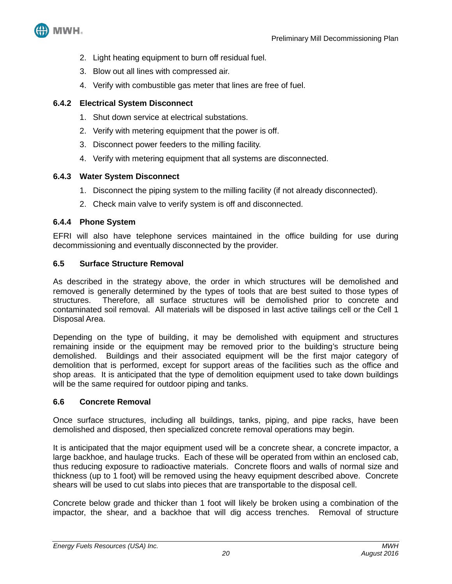

- 2. Light heating equipment to burn off residual fuel.
- 3. Blow out all lines with compressed air.
- 4. Verify with combustible gas meter that lines are free of fuel.

## <span id="page-22-0"></span>**6.4.2 Electrical System Disconnect**

- 1. Shut down service at electrical substations.
- 2. Verify with metering equipment that the power is off.
- 3. Disconnect power feeders to the milling facility.
- 4. Verify with metering equipment that all systems are disconnected.

## <span id="page-22-1"></span>**6.4.3 Water System Disconnect**

- 1. Disconnect the piping system to the milling facility (if not already disconnected).
- 2. Check main valve to verify system is off and disconnected.

#### <span id="page-22-2"></span>**6.4.4 Phone System**

EFRI will also have telephone services maintained in the office building for use during decommissioning and eventually disconnected by the provider.

## <span id="page-22-3"></span>**6.5 Surface Structure Removal**

As described in the strategy above, the order in which structures will be demolished and removed is generally determined by the types of tools that are best suited to those types of structures. Therefore, all surface structures will be demolished prior to concrete and contaminated soil removal. All materials will be disposed in last active tailings cell or the Cell 1 Disposal Area.

Depending on the type of building, it may be demolished with equipment and structures remaining inside or the equipment may be removed prior to the building's structure being demolished. Buildings and their associated equipment will be the first major category of demolition that is performed, except for support areas of the facilities such as the office and shop areas. It is anticipated that the type of demolition equipment used to take down buildings will be the same required for outdoor piping and tanks.

#### <span id="page-22-4"></span>**6.6 Concrete Removal**

Once surface structures, including all buildings, tanks, piping, and pipe racks, have been demolished and disposed, then specialized concrete removal operations may begin.

It is anticipated that the major equipment used will be a concrete shear, a concrete impactor, a large backhoe, and haulage trucks. Each of these will be operated from within an enclosed cab, thus reducing exposure to radioactive materials. Concrete floors and walls of normal size and thickness (up to 1 foot) will be removed using the heavy equipment described above. Concrete shears will be used to cut slabs into pieces that are transportable to the disposal cell.

Concrete below grade and thicker than 1 foot will likely be broken using a combination of the impactor, the shear, and a backhoe that will dig access trenches. Removal of structure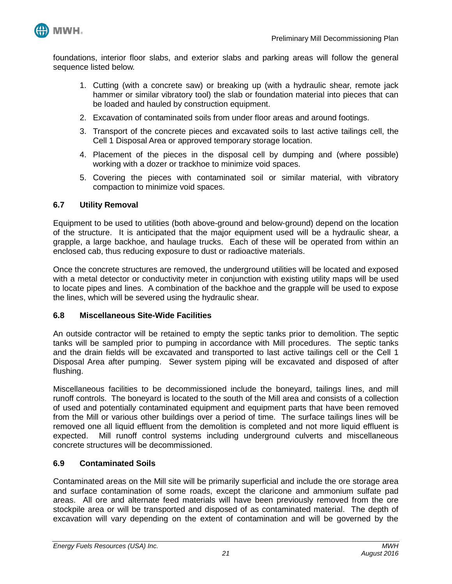

foundations, interior floor slabs, and exterior slabs and parking areas will follow the general sequence listed below.

- 1. Cutting (with a concrete saw) or breaking up (with a hydraulic shear, remote jack hammer or similar vibratory tool) the slab or foundation material into pieces that can be loaded and hauled by construction equipment.
- 2. Excavation of contaminated soils from under floor areas and around footings.
- 3. Transport of the concrete pieces and excavated soils to last active tailings cell, the Cell 1 Disposal Area or approved temporary storage location.
- 4. Placement of the pieces in the disposal cell by dumping and (where possible) working with a dozer or trackhoe to minimize void spaces.
- 5. Covering the pieces with contaminated soil or similar material, with vibratory compaction to minimize void spaces.

#### <span id="page-23-0"></span>**6.7 Utility Removal**

Equipment to be used to utilities (both above-ground and below-ground) depend on the location of the structure. It is anticipated that the major equipment used will be a hydraulic shear, a grapple, a large backhoe, and haulage trucks. Each of these will be operated from within an enclosed cab, thus reducing exposure to dust or radioactive materials.

Once the concrete structures are removed, the underground utilities will be located and exposed with a metal detector or conductivity meter in conjunction with existing utility maps will be used to locate pipes and lines. A combination of the backhoe and the grapple will be used to expose the lines, which will be severed using the hydraulic shear.

#### <span id="page-23-1"></span>**6.8 Miscellaneous Site-Wide Facilities**

An outside contractor will be retained to empty the septic tanks prior to demolition. The septic tanks will be sampled prior to pumping in accordance with Mill procedures. The septic tanks and the drain fields will be excavated and transported to last active tailings cell or the Cell 1 Disposal Area after pumping. Sewer system piping will be excavated and disposed of after flushing.

Miscellaneous facilities to be decommissioned include the boneyard, tailings lines, and mill runoff controls. The boneyard is located to the south of the Mill area and consists of a collection of used and potentially contaminated equipment and equipment parts that have been removed from the Mill or various other buildings over a period of time. The surface tailings lines will be removed one all liquid effluent from the demolition is completed and not more liquid effluent is expected. Mill runoff control systems including underground culverts and miscellaneous concrete structures will be decommissioned.

#### <span id="page-23-2"></span>**6.9 Contaminated Soils**

Contaminated areas on the Mill site will be primarily superficial and include the ore storage area and surface contamination of some roads, except the claricone and ammonium sulfate pad areas. All ore and alternate feed materials will have been previously removed from the ore stockpile area or will be transported and disposed of as contaminated material. The depth of excavation will vary depending on the extent of contamination and will be governed by the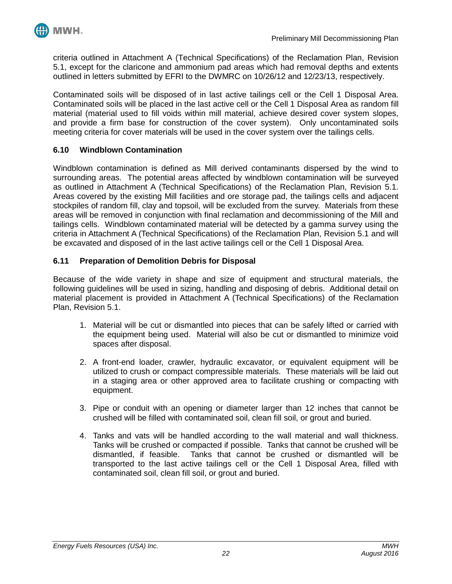

criteria outlined in Attachment A (Technical Specifications) of the Reclamation Plan, Revision 5.1, except for the claricone and ammonium pad areas which had removal depths and extents outlined in letters submitted by EFRI to the DWMRC on 10/26/12 and 12/23/13, respectively.

Contaminated soils will be disposed of in last active tailings cell or the Cell 1 Disposal Area. Contaminated soils will be placed in the last active cell or the Cell 1 Disposal Area as random fill material (material used to fill voids within mill material, achieve desired cover system slopes, and provide a firm base for construction of the cover system). Only uncontaminated soils meeting criteria for cover materials will be used in the cover system over the tailings cells.

## <span id="page-24-0"></span>**6.10 Windblown Contamination**

Windblown contamination is defined as Mill derived contaminants dispersed by the wind to surrounding areas. The potential areas affected by windblown contamination will be surveyed as outlined in Attachment A (Technical Specifications) of the Reclamation Plan, Revision 5.1. Areas covered by the existing Mill facilities and ore storage pad, the tailings cells and adjacent stockpiles of random fill, clay and topsoil, will be excluded from the survey. Materials from these areas will be removed in conjunction with final reclamation and decommissioning of the Mill and tailings cells. Windblown contaminated material will be detected by a gamma survey using the criteria in Attachment A (Technical Specifications) of the Reclamation Plan, Revision 5.1 and will be excavated and disposed of in the last active tailings cell or the Cell 1 Disposal Area.

## <span id="page-24-1"></span>**6.11 Preparation of Demolition Debris for Disposal**

Because of the wide variety in shape and size of equipment and structural materials, the following guidelines will be used in sizing, handling and disposing of debris. Additional detail on material placement is provided in Attachment A (Technical Specifications) of the Reclamation Plan, Revision 5.1.

- 1. Material will be cut or dismantled into pieces that can be safely lifted or carried with the equipment being used. Material will also be cut or dismantled to minimize void spaces after disposal.
- 2. A front-end loader, crawler, hydraulic excavator, or equivalent equipment will be utilized to crush or compact compressible materials. These materials will be laid out in a staging area or other approved area to facilitate crushing or compacting with equipment.
- 3. Pipe or conduit with an opening or diameter larger than 12 inches that cannot be crushed will be filled with contaminated soil, clean fill soil, or grout and buried.
- 4. Tanks and vats will be handled according to the wall material and wall thickness. Tanks will be crushed or compacted if possible. Tanks that cannot be crushed will be dismantled, if feasible. Tanks that cannot be crushed or dismantled will be transported to the last active tailings cell or the Cell 1 Disposal Area, filled with contaminated soil, clean fill soil, or grout and buried.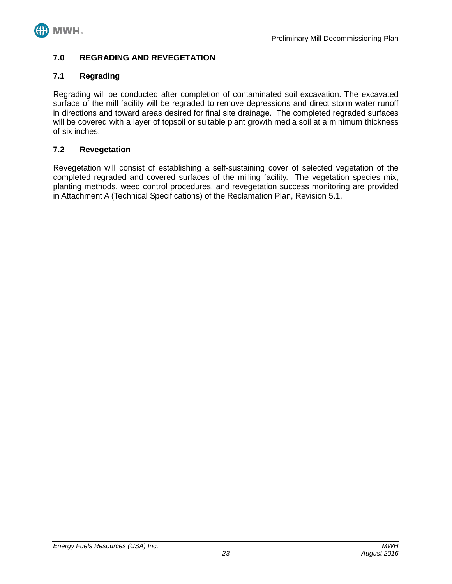

## <span id="page-25-0"></span>**7.0 REGRADING AND REVEGETATION**

## <span id="page-25-1"></span>**7.1 Regrading**

Regrading will be conducted after completion of contaminated soil excavation. The excavated surface of the mill facility will be regraded to remove depressions and direct storm water runoff in directions and toward areas desired for final site drainage. The completed regraded surfaces will be covered with a layer of topsoil or suitable plant growth media soil at a minimum thickness of six inches.

#### <span id="page-25-2"></span>**7.2 Revegetation**

Revegetation will consist of establishing a self-sustaining cover of selected vegetation of the completed regraded and covered surfaces of the milling facility. The vegetation species mix, planting methods, weed control procedures, and revegetation success monitoring are provided in Attachment A (Technical Specifications) of the Reclamation Plan, Revision 5.1.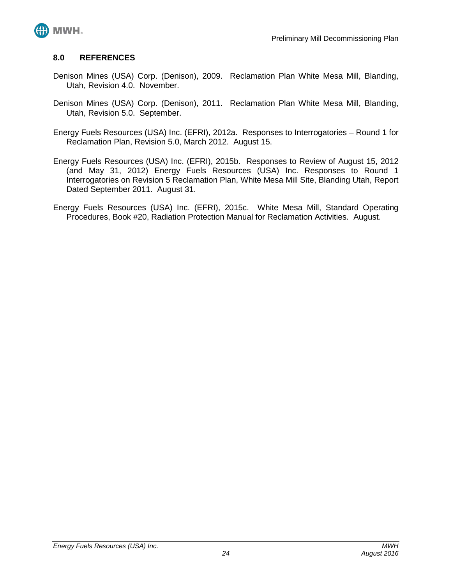

#### <span id="page-26-0"></span>**8.0 REFERENCES**

- Denison Mines (USA) Corp. (Denison), 2009. Reclamation Plan White Mesa Mill, Blanding, Utah, Revision 4.0. November.
- Denison Mines (USA) Corp. (Denison), 2011. Reclamation Plan White Mesa Mill, Blanding, Utah, Revision 5.0. September.
- Energy Fuels Resources (USA) Inc. (EFRI), 2012a. Responses to Interrogatories Round 1 for Reclamation Plan, Revision 5.0, March 2012. August 15.
- Energy Fuels Resources (USA) Inc. (EFRI), 2015b. Responses to Review of August 15, 2012 (and May 31, 2012) Energy Fuels Resources (USA) Inc. Responses to Round 1 Interrogatories on Revision 5 Reclamation Plan, White Mesa Mill Site, Blanding Utah, Report Dated September 2011. August 31.
- Energy Fuels Resources (USA) Inc. (EFRI), 2015c. White Mesa Mill, Standard Operating Procedures, Book #20, Radiation Protection Manual for Reclamation Activities. August.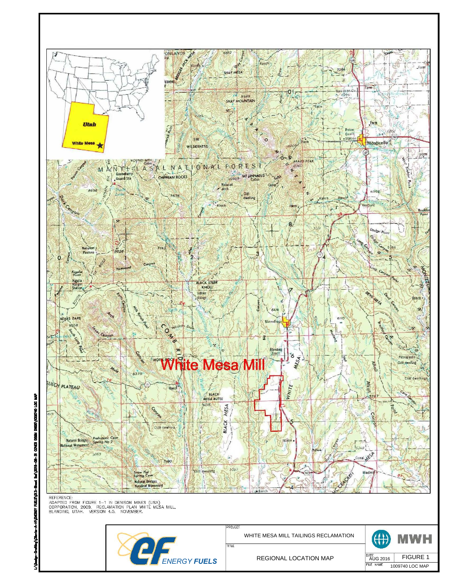